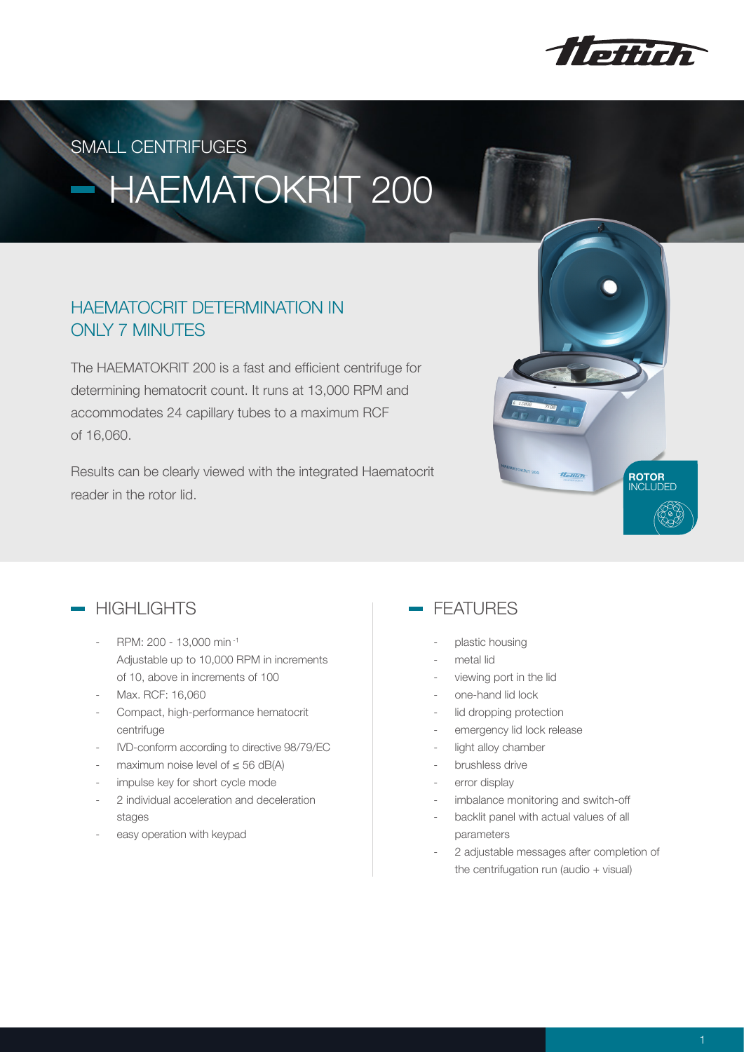

SMALL CENTRIFUGES

# HAEMATOKRIT 200

### HAEMATOCRIT DETERMINATION IN ONLY 7 MINUTES

The HAEMATOKRIT 200 is a fast and efficient centrifuge for determining hematocrit count. It runs at 13,000 RPM and accommodates 24 capillary tubes to a maximum RCF of 16,060.

Results can be clearly viewed with the integrated Haematocrit reader in the rotor lid.





- RPM: 200 13,000 min <sup>-1</sup> Adjustable up to 10,000 RPM in increments of 10, above in increments of 100
- Max. RCF: 16,060
- Compact, high-performance hematocrit centrifuge
- IVD-conform according to directive 98/79/EC
- maximum noise level of  $\leq$  56 dB(A)
- impulse key for short cycle mode
- 2 individual acceleration and deceleration stages
- easy operation with keypad

### FEATURES

- plastic housing
- metal lid
- viewing port in the lid
- one-hand lid lock
- lid dropping protection
- emergency lid lock release
- light alloy chamber
- brushless drive
- error display
- imbalance monitoring and switch-off
- backlit panel with actual values of all parameters
- 2 adjustable messages after completion of the centrifugation run (audio + visual)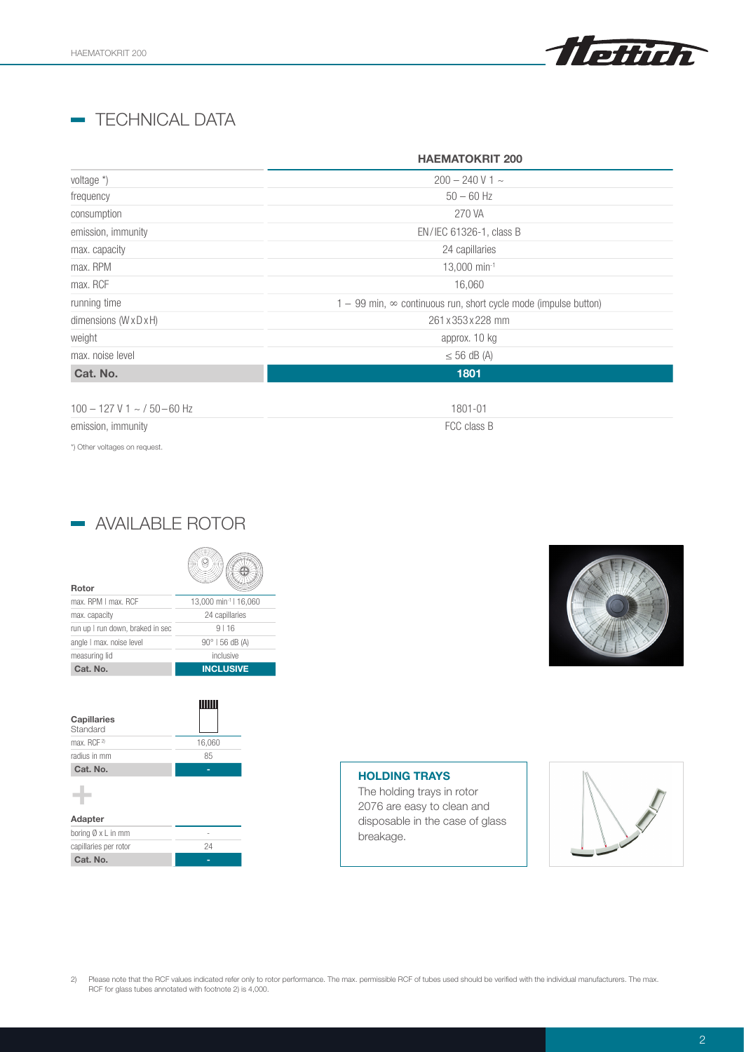

### **- TECHNICAL DATA**

|                                | <b>HAEMATOKRIT 200</b>                                                   |
|--------------------------------|--------------------------------------------------------------------------|
| voltage *)                     | $200 - 240$ V 1 $\sim$                                                   |
| frequency                      | $50 - 60$ Hz                                                             |
| consumption                    | 270 VA                                                                   |
| emission, immunity             | EN/IEC 61326-1, class B                                                  |
| max. capacity                  | 24 capillaries                                                           |
| max. RPM                       | 13,000 min-1                                                             |
| max. RCF                       | 16,060                                                                   |
| running time                   | $1 - 99$ min, $\infty$ continuous run, short cycle mode (impulse button) |
| dimensions (WxDxH)             | 261 x 353 x 228 mm                                                       |
| weight                         | approx. 10 kg                                                            |
| max, noise level               | $\leq$ 56 dB (A)                                                         |
| Cat. No.                       | 1801                                                                     |
| $100 - 127$ V 1 ~ / 50 - 60 Hz | 1801-01                                                                  |

emission, immunity **FCC** class B

\*) Other voltages on request.

|  | - AVAILABLE ROTOR |  |
|--|-------------------|--|
|--|-------------------|--|

| Rotor                            |                                   |
|----------------------------------|-----------------------------------|
| max. RPM I max. RCF              | 13,000 min <sup>-1</sup>   16,060 |
| max. capacity                    | 24 capillaries                    |
| run up I run down, braked in sec | 9116                              |
| angle I max. noise level         | $90^{\circ}$   56 dB (A)          |
| measuring lid                    | inclusive                         |
| Cat. No.                         | <b>INCLUSIVE</b>                  |

| Capillaries<br>Standard |        |
|-------------------------|--------|
| max. RCF <sup>2)</sup>  | 16,060 |
| radius in mm            | 85     |
| Cat. No.                |        |
|                         |        |
| Adapter                 |        |
| boring Ø x L in mm      |        |

| boring Ø x L in mm    |    |
|-----------------------|----|
| capillaries per rotor | 24 |
| Cat. No.              |    |



### HOLDING TRAYS

The holding trays in rotor 2076 are easy to clean and disposable in the case of glass breakage.



2) Please note that the RCF values indicated refer only to rotor performance. The max. permissible RCF of tubes used should be verified with the individual manufacturers. The max. RCF for glass tubes annotated with footnote 2) is 4,000.